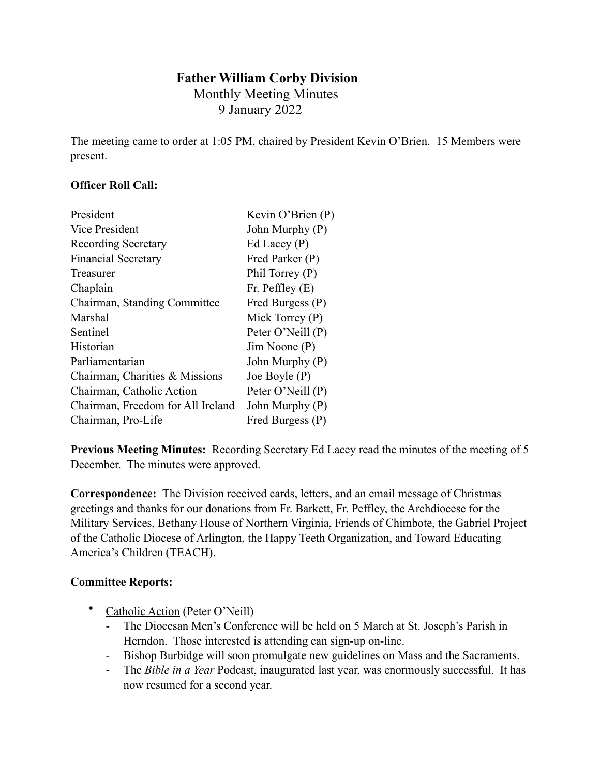# **Father William Corby Division**

 Monthly Meeting Minutes 9 January 2022

The meeting came to order at 1:05 PM, chaired by President Kevin O'Brien. 15 Members were present.

### **Officer Roll Call:**

| President                         | Kevin O'Brien (P) |
|-----------------------------------|-------------------|
| Vice President                    | John Murphy (P)   |
| <b>Recording Secretary</b>        | Ed Lacey $(P)$    |
| <b>Financial Secretary</b>        | Fred Parker (P)   |
| Treasurer                         | Phil Torrey (P)   |
| Chaplain                          | Fr. Peffley $(E)$ |
| Chairman, Standing Committee      | Fred Burgess (P)  |
| Marshal                           | Mick Torrey $(P)$ |
| Sentinel                          | Peter O'Neill (P) |
| Historian                         | $Jim$ Noone $(P)$ |
| Parliamentarian                   | John Murphy (P)   |
| Chairman, Charities & Missions    | Joe Boyle (P)     |
| Chairman, Catholic Action         | Peter O'Neill (P) |
| Chairman, Freedom for All Ireland | John Murphy (P)   |
| Chairman, Pro-Life                | Fred Burgess (P)  |

**Previous Meeting Minutes:** Recording Secretary Ed Lacey read the minutes of the meeting of 5 December. The minutes were approved.

**Correspondence:** The Division received cards, letters, and an email message of Christmas greetings and thanks for our donations from Fr. Barkett, Fr. Peffley, the Archdiocese for the Military Services, Bethany House of Northern Virginia, Friends of Chimbote, the Gabriel Project of the Catholic Diocese of Arlington, the Happy Teeth Organization, and Toward Educating America's Children (TEACH).

## **Committee Reports:**

- Catholic Action (Peter O'Neill)
	- The Diocesan Men's Conference will be held on 5 March at St. Joseph's Parish in Herndon. Those interested is attending can sign-up on-line.
	- Bishop Burbidge will soon promulgate new guidelines on Mass and the Sacraments.
	- The *Bible in a Year* Podcast, inaugurated last year, was enormously successful. It has now resumed for a second year.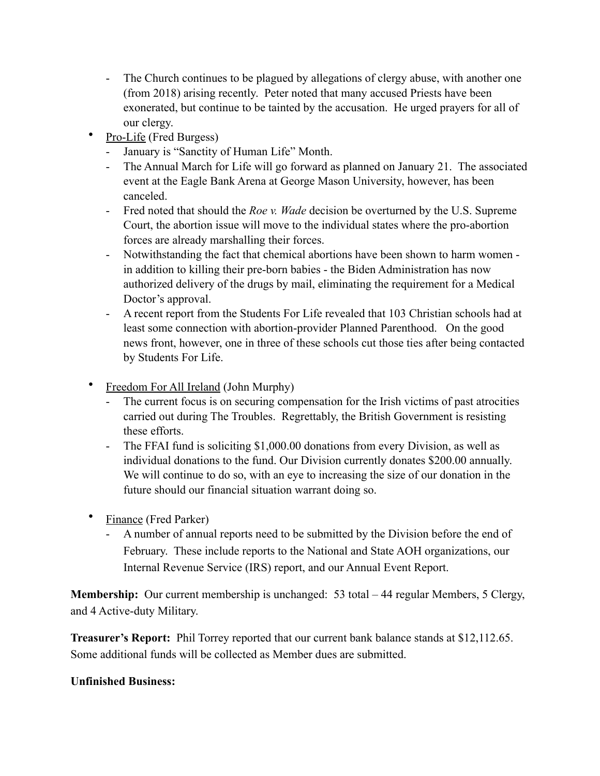- The Church continues to be plagued by allegations of clergy abuse, with another one (from 2018) arising recently. Peter noted that many accused Priests have been exonerated, but continue to be tainted by the accusation. He urged prayers for all of our clergy.
- Pro-Life (Fred Burgess)
	- January is "Sanctity of Human Life" Month.
	- The Annual March for Life will go forward as planned on January 21. The associated event at the Eagle Bank Arena at George Mason University, however, has been canceled.
	- Fred noted that should the *Roe v. Wade* decision be overturned by the U.S. Supreme Court, the abortion issue will move to the individual states where the pro-abortion forces are already marshalling their forces.
	- Notwithstanding the fact that chemical abortions have been shown to harm women in addition to killing their pre-born babies - the Biden Administration has now authorized delivery of the drugs by mail, eliminating the requirement for a Medical Doctor's approval.
	- A recent report from the Students For Life revealed that 103 Christian schools had at least some connection with abortion-provider Planned Parenthood. On the good news front, however, one in three of these schools cut those ties after being contacted by Students For Life.
- Freedom For All Ireland (John Murphy)
	- The current focus is on securing compensation for the Irish victims of past atrocities carried out during The Troubles. Regrettably, the British Government is resisting these efforts.
	- The FFAI fund is soliciting \$1,000.00 donations from every Division, as well as individual donations to the fund. Our Division currently donates \$200.00 annually. We will continue to do so, with an eye to increasing the size of our donation in the future should our financial situation warrant doing so.
- Finance (Fred Parker)
	- A number of annual reports need to be submitted by the Division before the end of February. These include reports to the National and State AOH organizations, our Internal Revenue Service (IRS) report, and our Annual Event Report.

**Membership:** Our current membership is unchanged: 53 total – 44 regular Members, 5 Clergy, and 4 Active-duty Military.

**Treasurer's Report:** Phil Torrey reported that our current bank balance stands at \$12,112.65. Some additional funds will be collected as Member dues are submitted.

#### **Unfinished Business:**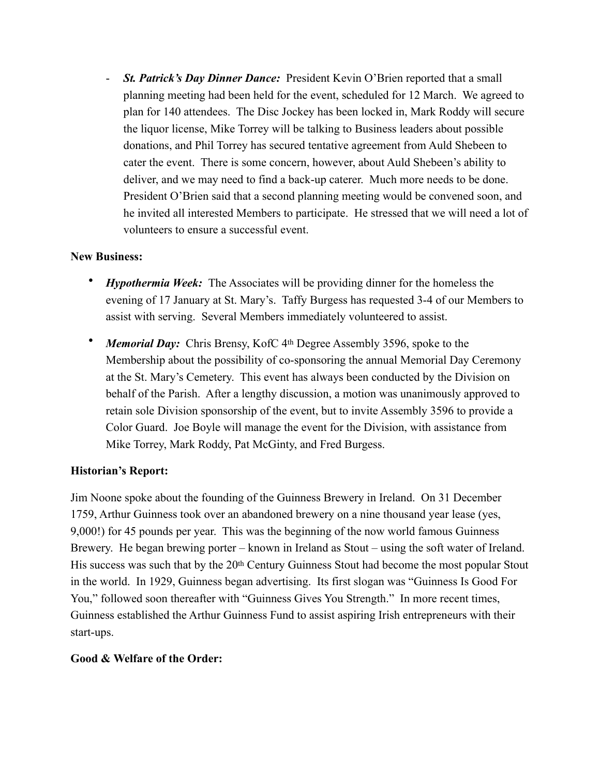- *St. Patrick's Day Dinner Dance:* President Kevin O'Brien reported that a small planning meeting had been held for the event, scheduled for 12 March. We agreed to plan for 140 attendees. The Disc Jockey has been locked in, Mark Roddy will secure the liquor license, Mike Torrey will be talking to Business leaders about possible donations, and Phil Torrey has secured tentative agreement from Auld Shebeen to cater the event. There is some concern, however, about Auld Shebeen's ability to deliver, and we may need to find a back-up caterer. Much more needs to be done. President O'Brien said that a second planning meeting would be convened soon, and he invited all interested Members to participate. He stressed that we will need a lot of volunteers to ensure a successful event.

#### **New Business:**

- *Hypothermia Week:* The Associates will be providing dinner for the homeless the evening of 17 January at St. Mary's. Taffy Burgess has requested 3-4 of our Members to assist with serving. Several Members immediately volunteered to assist.
- *Memorial Day:* Chris Brensy, KofC 4<sup>th</sup> Degree Assembly 3596, spoke to the Membership about the possibility of co-sponsoring the annual Memorial Day Ceremony at the St. Mary's Cemetery. This event has always been conducted by the Division on behalf of the Parish. After a lengthy discussion, a motion was unanimously approved to retain sole Division sponsorship of the event, but to invite Assembly 3596 to provide a Color Guard. Joe Boyle will manage the event for the Division, with assistance from Mike Torrey, Mark Roddy, Pat McGinty, and Fred Burgess.

#### **Historian's Report:**

Jim Noone spoke about the founding of the Guinness Brewery in Ireland. On 31 December 1759, Arthur Guinness took over an abandoned brewery on a nine thousand year lease (yes, 9,000!) for 45 pounds per year. This was the beginning of the now world famous Guinness Brewery. He began brewing porter – known in Ireland as Stout – using the soft water of Ireland. His success was such that by the 20th Century Guinness Stout had become the most popular Stout in the world. In 1929, Guinness began advertising. Its first slogan was "Guinness Is Good For You," followed soon thereafter with "Guinness Gives You Strength." In more recent times, Guinness established the Arthur Guinness Fund to assist aspiring Irish entrepreneurs with their start-ups.

#### **Good & Welfare of the Order:**